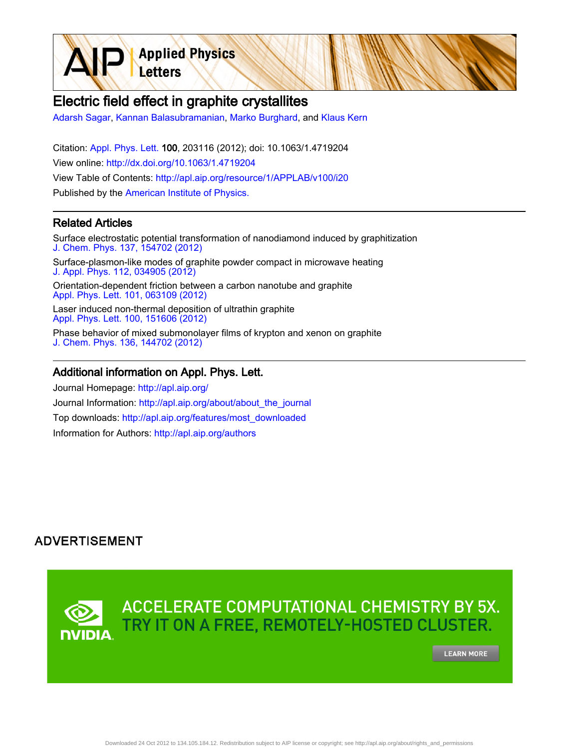**Applied Physics** Letters

# Electric field effect in graphite crystallites

[Adarsh Sagar](http://apl.aip.org/search?sortby=newestdate&q=&searchzone=2&searchtype=searchin&faceted=faceted&key=AIP_ALL&possible1=Adarsh Sagar&possible1zone=author&alias=&displayid=AIP&ver=pdfcov), [Kannan Balasubramanian,](http://apl.aip.org/search?sortby=newestdate&q=&searchzone=2&searchtype=searchin&faceted=faceted&key=AIP_ALL&possible1=Kannan Balasubramanian&possible1zone=author&alias=&displayid=AIP&ver=pdfcov) [Marko Burghard,](http://apl.aip.org/search?sortby=newestdate&q=&searchzone=2&searchtype=searchin&faceted=faceted&key=AIP_ALL&possible1=Marko Burghard&possible1zone=author&alias=&displayid=AIP&ver=pdfcov) and [Klaus Kern](http://apl.aip.org/search?sortby=newestdate&q=&searchzone=2&searchtype=searchin&faceted=faceted&key=AIP_ALL&possible1=Klaus Kern&possible1zone=author&alias=&displayid=AIP&ver=pdfcov)

Citation: [Appl. Phys. Lett. 1](http://apl.aip.org/?ver=pdfcov)00, 203116 (2012); doi: 10.1063/1.4719204 View online: [http://dx.doi.org/10.1063/1.4719204](http://link.aip.org/link/doi/10.1063/1.4719204?ver=pdfcov) View Table of Contents: [http://apl.aip.org/resource/1/APPLAB/v100/i20](http://apl.aip.org/resource/1/APPLAB/v100/i20?ver=pdfcov) Published by the [American Institute of Physics.](http://www.aip.org/?ver=pdfcov)

### Related Articles

Surface electrostatic potential transformation of nanodiamond induced by graphitization [J. Chem. Phys. 137, 154702 \(2012\)](http://link.aip.org/link/doi/10.1063/1.4758474?ver=pdfcov)

Surface-plasmon-like modes of graphite powder compact in microwave heating [J. Appl. Phys. 112, 034905 \(2012\)](http://link.aip.org/link/doi/10.1063/1.4745871?ver=pdfcov)

Orientation-dependent friction between a carbon nanotube and graphite [Appl. Phys. Lett. 101, 063109 \(2012\)](http://link.aip.org/link/doi/10.1063/1.4744576?ver=pdfcov)

Laser induced non-thermal deposition of ultrathin graphite [Appl. Phys. Lett. 100, 151606 \(2012\)](http://link.aip.org/link/doi/10.1063/1.3703599?ver=pdfcov)

Phase behavior of mixed submonolayer films of krypton and xenon on graphite [J. Chem. Phys. 136, 144702 \(2012\)](http://link.aip.org/link/doi/10.1063/1.3699330?ver=pdfcov)

#### Additional information on Appl. Phys. Lett.

Journal Homepage: [http://apl.aip.org/](http://apl.aip.org/?ver=pdfcov) Journal Information: [http://apl.aip.org/about/about\\_the\\_journal](http://apl.aip.org/about/about_the_journal?ver=pdfcov) Top downloads: [http://apl.aip.org/features/most\\_downloaded](http://apl.aip.org/features/most_downloaded?ver=pdfcov) Information for Authors: [http://apl.aip.org/authors](http://apl.aip.org/authors?ver=pdfcov)

## **ADVERTISEMENT**

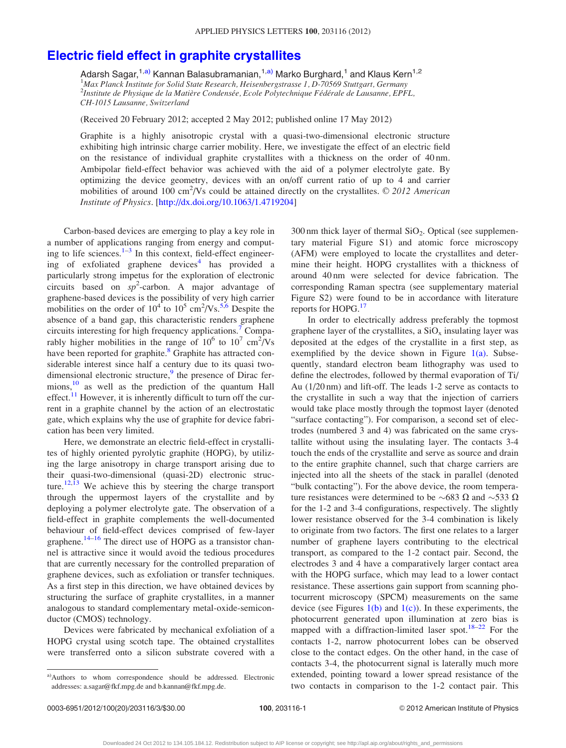## [Electric field effect in graphite crystallites](http://dx.doi.org/10.1063/1.4719204)

Adarsh Sagar,<sup>1,a)</sup> Kannan Balasubramanian,<sup>1,a)</sup> Marko Burghard,<sup>1</sup> and Klaus Kern<sup>1,2</sup> <sup>1</sup>Max Planck Institute for Solid State Research, Heisenbergstrasse 1, D-70569 Stuttgart, Germany <sup>2</sup>Institute de Physique de la Matière Condensée, Ecole Polytechnique Fédérale de Lausanne, EPFL, CH-1015 Lausanne, Switzerland

(Received 20 February 2012; accepted 2 May 2012; published online 17 May 2012)

Graphite is a highly anisotropic crystal with a quasi-two-dimensional electronic structure exhibiting high intrinsic charge carrier mobility. Here, we investigate the effect of an electric field on the resistance of individual graphite crystallites with a thickness on the order of 40 nm. Ambipolar field-effect behavior was achieved with the aid of a polymer electrolyte gate. By optimizing the device geometry, devices with an on/off current ratio of up to 4 and carrier mobilities of around 100 cm<sup>2</sup>/Vs could be attained directly on the crystallites.  $\oslash$  2012 American Institute of Physics. [[http://dx.doi.org/10.1063/1.4719204\]](http://dx.doi.org/10.1063/1.4719204)

Carbon-based devices are emerging to play a key role in a number of applications ranging from energy and computing to life sciences. $1-3$  $1-3$  $1-3$  In this context, field-effect engineer-ing of exfoliated graphene devices<sup>[4](#page-3-0)</sup> has provided a particularly strong impetus for the exploration of electronic circuits based on  $sp^2$ -carbon. A major advantage of graphene-based devices is the possibility of very high carrier mobilities on the order of  $10^4$  to  $10^5$  cm<sup>2</sup>/Vs.<sup>[5,6](#page-3-0)</sup> Despite the absence of a band gap, this characteristic renders graphene circuits interesting for high frequency applications.<sup>[7](#page-3-0)</sup> Comparably higher mobilities in the range of  $10^6$  to  $10^7$  cm<sup>2</sup>/Vs have been reported for graphite.<sup>[8](#page-3-0)</sup> Graphite has attracted considerable interest since half a century due to its quasi twodimensional electronic structure, $9$  the presence of Dirac fer-mions,<sup>[10](#page-3-0)</sup> as well as the prediction of the quantum Hall effect.<sup>[11](#page-3-0)</sup> However, it is inherently difficult to turn off the current in a graphite channel by the action of an electrostatic gate, which explains why the use of graphite for device fabrication has been very limited.

Here, we demonstrate an electric field-effect in crystallites of highly oriented pyrolytic graphite (HOPG), by utilizing the large anisotropy in charge transport arising due to their quasi-two-dimensional (quasi-2D) electronic struc-ture.<sup>[12,13](#page-3-0)</sup> We achieve this by steering the charge transport through the uppermost layers of the crystallite and by deploying a polymer electrolyte gate. The observation of a field-effect in graphite complements the well-documented behaviour of field-effect devices comprised of few-layer graphene. $14-16$  The direct use of HOPG as a transistor channel is attractive since it would avoid the tedious procedures that are currently necessary for the controlled preparation of graphene devices, such as exfoliation or transfer techniques. As a first step in this direction, we have obtained devices by structuring the surface of graphite crystallites, in a manner analogous to standard complementary metal-oxide-semiconductor (CMOS) technology.

Devices were fabricated by mechanical exfoliation of a HOPG crystal using scotch tape. The obtained crystallites were transferred onto a silicon substrate covered with a  $300 \text{ nm}$  thick layer of thermal  $SiO<sub>2</sub>$ . Optical (see supplementary material Figure S1) and atomic force microscopy (AFM) were employed to locate the crystallites and determine their height. HOPG crystallites with a thickness of around 40 nm were selected for device fabrication. The corresponding Raman spectra (see supplementary material Figure S2) were found to be in accordance with literature reports for HOPG.<sup>[17](#page-3-0)</sup>

In order to electrically address preferably the topmost graphene layer of the crystallites, a  $SiO_x$  insulating layer was deposited at the edges of the crystallite in a first step, as exemplified by the device shown in Figure  $1(a)$ . Subsequently, standard electron beam lithography was used to define the electrodes, followed by thermal evaporation of Ti/ Au (1/20 nm) and lift-off. The leads 1-2 serve as contacts to the crystallite in such a way that the injection of carriers would take place mostly through the topmost layer (denoted "surface contacting"). For comparison, a second set of electrodes (numbered 3 and 4) was fabricated on the same crystallite without using the insulating layer. The contacts 3-4 touch the ends of the crystallite and serve as source and drain to the entire graphite channel, such that charge carriers are injected into all the sheets of the stack in parallel (denoted "bulk contacting"). For the above device, the room temperature resistances were determined to be  $\sim 683 \Omega$  and  $\sim 533 \Omega$ for the 1-2 and 3-4 configurations, respectively. The slightly lower resistance observed for the 3-4 combination is likely to originate from two factors. The first one relates to a larger number of graphene layers contributing to the electrical transport, as compared to the 1-2 contact pair. Second, the electrodes 3 and 4 have a comparatively larger contact area with the HOPG surface, which may lead to a lower contact resistance. These assertions gain support from scanning photocurrent microscopy (SPCM) measurements on the same device (see Figures  $1(b)$  and  $1(c)$ ). In these experiments, the photocurrent generated upon illumination at zero bias is mapped with a diffraction-limited laser spot.<sup>18–22</sup> For the contacts 1-2, narrow photocurrent lobes can be observed close to the contact edges. On the other hand, in the case of contacts 3-4, the photocurrent signal is laterally much more extended, pointing toward a lower spread resistance of the two contacts in comparison to the 1-2 contact pair. This

a)Authors to whom correspondence should be addressed. Electronic addresses: a.sagar@fkf.mpg.de and b.kannan@fkf.mpg.de.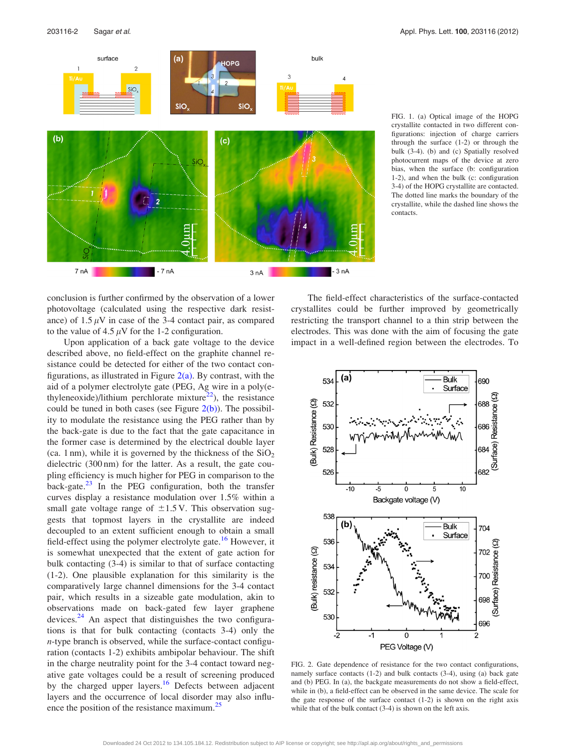<span id="page-2-0"></span>

FIG. 1. (a) Optical image of the HOPG crystallite contacted in two different configurations: injection of charge carriers through the surface (1-2) or through the bulk (3-4). (b) and (c) Spatially resolved photocurrent maps of the device at zero bias, when the surface (b: configuration 1-2), and when the bulk (c: configuration 3-4) of the HOPG crystallite are contacted. The dotted line marks the boundary of the crystallite, while the dashed line shows the contacts.

conclusion is further confirmed by the observation of a lower photovoltage (calculated using the respective dark resistance) of  $1.5 \mu$ V in case of the 3-4 contact pair, as compared to the value of 4.5  $\mu$ V for the 1-2 configuration.

Upon application of a back gate voltage to the device described above, no field-effect on the graphite channel resistance could be detected for either of the two contact configurations, as illustrated in Figure  $2(a)$ . By contrast, with the aid of a polymer electrolyte gate (PEG, Ag wire in a poly(ethyleneoxide)/lithium perchlorate mixture<sup>22</sup>), the resistance could be tuned in both cases (see Figure  $2(b)$ ). The possibility to modulate the resistance using the PEG rather than by the back-gate is due to the fact that the gate capacitance in the former case is determined by the electrical double layer (ca. 1 nm), while it is governed by the thickness of the  $SiO<sub>2</sub>$ dielectric (300 nm) for the latter. As a result, the gate coupling efficiency is much higher for PEG in comparison to the back-gate. $23$  In the PEG configuration, both the transfer curves display a resistance modulation over 1.5% within a small gate voltage range of  $\pm 1.5$  V. This observation suggests that topmost layers in the crystallite are indeed decoupled to an extent sufficient enough to obtain a small field-effect using the polymer electrolyte gate.<sup>[16](#page-3-0)</sup> However, it is somewhat unexpected that the extent of gate action for bulk contacting (3-4) is similar to that of surface contacting (1-2). One plausible explanation for this similarity is the comparatively large channel dimensions for the 3-4 contact pair, which results in a sizeable gate modulation, akin to observations made on back-gated few layer graphene devices. $24$  An aspect that distinguishes the two configurations is that for bulk contacting (contacts 3-4) only the n-type branch is observed, while the surface-contact configuration (contacts 1-2) exhibits ambipolar behaviour. The shift in the charge neutrality point for the 3-4 contact toward negative gate voltages could be a result of screening produced by the charged upper layers.<sup>[16](#page-3-0)</sup> Defects between adjacent layers and the occurrence of local disorder may also influ-ence the position of the resistance maximum.<sup>[25](#page-3-0)</sup>

The field-effect characteristics of the surface-contacted crystallites could be further improved by geometrically restricting the transport channel to a thin strip between the electrodes. This was done with the aim of focusing the gate impact in a well-defined region between the electrodes. To



FIG. 2. Gate dependence of resistance for the two contact configurations, namely surface contacts (1-2) and bulk contacts (3-4), using (a) back gate and (b) PEG. In (a), the backgate measurements do not show a field-effect, while in (b), a field-effect can be observed in the same device. The scale for the gate response of the surface contact  $(1-2)$  is shown on the right axis while that of the bulk contact (3-4) is shown on the left axis.